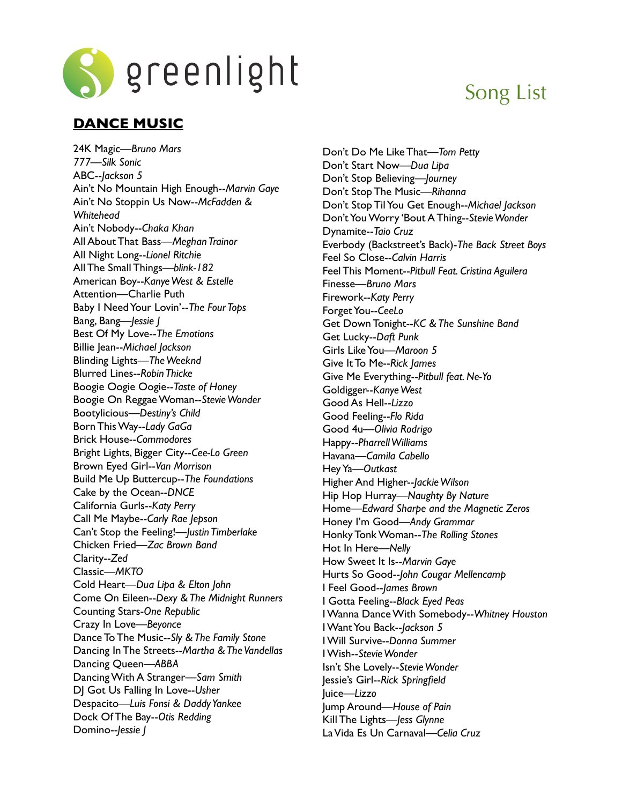

## **DANCE MUSIC**

24K Magic—*Bruno Mars 777—Silk Sonic* ABC--*Jackson 5* Ain't No Mountain High Enough--*Marvin Gaye* Ain't No Stoppin Us Now--*McFadden & Whitehead* Ain't Nobody--*Chaka Khan* All About That Bass—*Meghan Trainor* All Night Long--*Lionel Ritchie* All The Small Things—*blink-182* American Boy--*Kanye West & Estelle* Attention—Charlie Puth Baby I Need Your Lovin'--*The Four Tops* Bang, Bang—*Jessie J* Best Of My Love--*The Emotions* Billie Jean--*Michael Jackson* Blinding Lights—*The Weeknd* Blurred Lines--*Robin Thicke* Boogie Oogie Oogie--*Taste of Honey* Boogie On Reggae Woman--*Stevie Wonder* Bootylicious—*Destiny's Child* Born This Way--*Lady GaGa* Brick House--*Commodores* Bright Lights, Bigger City--*Cee-Lo Green* Brown Eyed Girl--*Van Morrison* Build Me Up Buttercup--*The Foundations* Cake by the Ocean--*DNCE* California Gurls--*Katy Perry* Call Me Maybe--*Carly Rae Jepson* Can't Stop the Feeling!—*Justin Timberlake* Chicken Fried—*Zac Brown Band* Clarity--*Zed* Classic—*MKTO* Cold Heart—*Dua Lipa & Elton John* Come On Eileen--*Dexy & The Midnight Runners* Counting Stars-*One Republic* Crazy In Love—*Beyonce* Dance To The Music--*Sly & The Family Stone* Dancing In The Streets--*Martha & The Vandellas* Dancing Queen—*ABBA* Dancing With A Stranger—*Sam Smith* DJ Got Us Falling In Love--*Usher* Despacito—*Luis Fonsi & Daddy Yankee* Dock Of The Bay--*Otis Redding* Domino--*Jessie J*

# Song List

Don't Do Me Like That—*Tom Petty* Don't Start Now—*Dua Lipa* Don't Stop Believing—*Journey* Don't Stop The Music—*Rihanna* Don't Stop Til You Get Enough--*Michael Jackson* Don't You Worry 'Bout A Thing--*Stevie Wonder* Dynamite--*Taio Cruz* Everbody (Backstreet's Back)-*The Back Street Boys* Feel So Close--*Calvin Harris* Feel This Moment--*Pitbull Feat. Cristina Aguilera* Finesse—*Bruno Mars* Firework--*Katy Perry* Forget You--*CeeLo* Get Down Tonight--*KC & The Sunshine Band* Get Lucky--*Daft Punk* Girls Like You—*Maroon 5* Give It To Me--*Rick James* Give Me Everything--*Pitbull feat. Ne-Yo* Goldigger--*Kanye West* Good As Hell--*Lizzo* Good Feeling--*Flo Rida* Good 4u—*Olivia Rodrigo* Happy--*Pharrell Williams* Havana—*Camila Cabello* Hey Ya—*Outkast* Higher And Higher--*Jackie Wilson* Hip Hop Hurray—*Naughty By Nature* Home—*Edward Sharpe and the Magnetic Zeros* Honey I'm Good—*Andy Grammar* Honky Tonk Woman--*The Rolling Stones* Hot In Here—*Nelly* How Sweet It Is--*Marvin Gaye* Hurts So Good--*John Cougar Mellencamp* I Feel Good--*James Brown* I Gotta Feeling--*Black Eyed Peas* I Wanna Dance With Somebody--*Whitney Houston* I Want You Back--*Jackson 5* I Will Survive--*Donna Summer* I Wish--*Stevie Wonder* Isn't She Lovely--*Stevie Wonder* Jessie's Girl--*Rick Springfield* Juice—*Lizzo* Jump Around—*House of Pain* Kill The Lights—*Jess Glynne*

La Vida Es Un Carnaval—*Celia Cruz*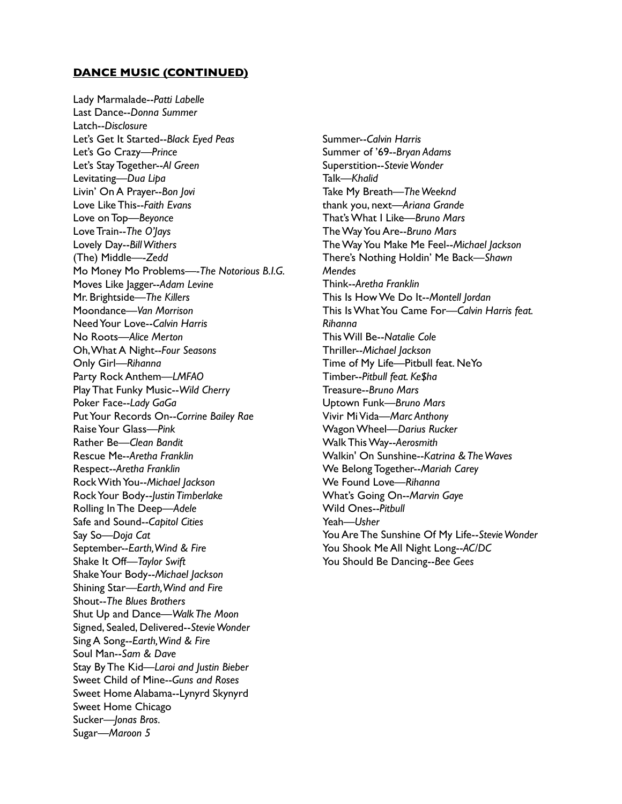#### **DANCE MUSIC (CONTINUED)**

Lady Marmalade--*Patti Labelle* Last Dance--*Donna Summer*  Latch--*Disclosure* Let's Get It Started--*Black Eyed Peas* Let's Go Crazy—*Prince* Let's Stay Together--*Al Green* Levitating—*Dua Lipa* Livin' On A Prayer--*Bon Jovi* Love Like This--*Faith Evans* Love on Top—*Beyonce* Love Train--*The O'Jays* Lovely Day--*Bill Withers* (The) Middle—-*Zedd* Mo Money Mo Problems—-*The Notorious B.I.G.* Moves Like Jagger--*Adam Levine* Mr. Brightside—*The Killers* Moondance—*Van Morrison* Need Your Love--*Calvin Harris* No Roots—*Alice Merton* Oh, What A Night--*Four Seasons* Only Girl—*Rihanna* Party Rock Anthem—*LMFAO* Play That Funky Music--*Wild Cherry* Poker Face--*Lady GaGa* Put Your Records On--*Corrine Bailey Rae* Raise Your Glass—*Pink* Rather Be—*Clean Bandit* Rescue Me--*Aretha Franklin* Respect--*Aretha Franklin* Rock With You--*Michael Jackson* Rock Your Body--*Justin Timberlake* Rolling In The Deep—*Adele* Safe and Sound--*Capitol Cities* Say So—*Doja Cat* September--*Earth, Wind & Fire* Shake It Off—*Taylor Swift* Shake Your Body--*Michael Jackson* Shining Star—*Earth, Wind and Fire* Shout--*The Blues Brothers* Shut Up and Dance—*Walk The Moon* Signed, Sealed, Delivered--*Stevie Wonder* Sing A Song--*Earth, Wind & Fire* Soul Man--*Sam & Dave* Stay By The Kid—*Laroi and Justin Bieber* Sweet Child of Mine--*Guns and Roses* Sweet Home Alabama--Lynyrd Skynyrd Sweet Home Chicago Sucker—*Jonas Bros.* Sugar—*Maroon 5*

Summer--*Calvin Harris* Summer of '69--*Bryan Adams* Superstition--*Stevie Wonder* Talk—*Khalid* Take My Breath—*The Weeknd* thank you, next—*Ariana Grande* That's What I Like—*Bruno Mars* The Way You Are--*Bruno Mars* The Way You Make Me Feel--*Michael Jackson* There's Nothing Holdin' Me Back—*Shawn Mendes* Think--*Aretha Franklin* This Is How We Do It--*Montell Jordan* This Is What You Came For—*Calvin Harris feat. Rihanna* This Will Be--*Natalie Cole* Thriller--*Michael Jackson* Time of My Life—Pitbull feat. NeYo Timber--*Pitbull feat. Ke\$ha* Treasure--*Bruno Mars* Uptown Funk—*Bruno Mars* Vivir Mi Vida*—Marc Anthony*  Wagon Wheel—*Darius Rucker* Walk This Way--*Aerosmith* Walkin' On Sunshine--*Katrina & The Waves* We Belong Together--*Mariah Carey* We Found Love—*Rihanna* What's Going On--*Marvin Gaye* Wild Ones--*Pitbull* Yeah—*Usher* You Are The Sunshine Of My Life--*Stevie Wonder* You Shook Me All Night Long--*AC/DC* You Should Be Dancing--*Bee Gees*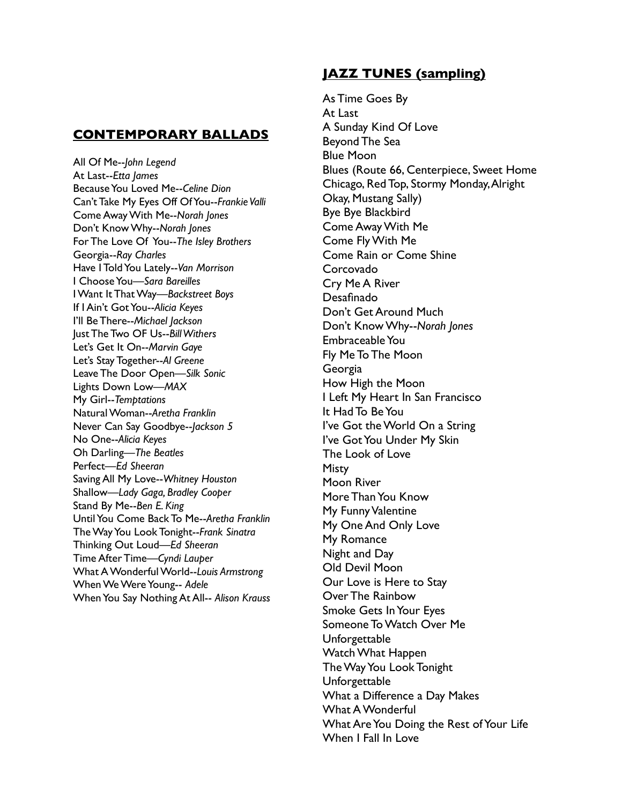### **CONTEMPORARY BALLADS**

All Of Me--*John Legend* At Last--*Etta James* Because You Loved Me--*Celine Dion* Can't Take My Eyes Off Of You--*Frankie Valli* Come Away With Me--*Norah Jones* Don't Know Why--*Norah Jones* For The Love Of You--*The Isley Brothers* Georgia--*Ray Charles* Have I Told You Lately--*Van Morrison* I Choose You—*Sara Bareilles* I Want It That Way—*Backstreet Boys* If I Ain't Got You--*Alicia Keyes* I'll Be There--*Michael Jackson* Just The Two OF Us--*Bill Withers* Let's Get It On--*Marvin Gaye* Let's Stay Together--*Al Greene* Leave The Door Open—*Silk Sonic* Lights Down Low—*MAX* My Girl--*Temptations* Natural Woman--*Aretha Franklin* Never Can Say Goodbye--*Jackson 5* No One--*Alicia Keyes* Oh Darling—*The Beatles* Perfect—*Ed Sheeran* Saving All My Love--*Whitney Houston* Shallow—*Lady Gaga, Bradley Cooper* Stand By Me--*Ben E. King* Until You Come Back To Me--*Aretha Franklin* The Way You Look Tonight--*Frank Sinatra* Thinking Out Loud—*Ed Sheeran* Time After Time—*Cyndi Lauper* What A Wonderful World--*Louis Armstrong* When We Were Young-- *Adele* When You Say Nothing At All-- *Alison Krauss*

## **JAZZ TUNES (sampling)**

As Time Goes By At Last A Sunday Kind Of Love Beyond The Sea Blue Moon Blues (Route 66, Centerpiece, Sweet Home Chicago, Red Top, Stormy Monday, Alright Okay, Mustang Sally) Bye Bye Blackbird Come Away With Me Come Fly With Me Come Rain or Come Shine Corcovado Cry Me A River Desafinado Don't Get Around Much Don't Know Why--*Norah Jones* Embraceable You Fly Me To The Moon Georgia How High the Moon I Left My Heart In San Francisco It Had To Be You I've Got the World On a String I've Got You Under My Skin The Look of Love **Misty** Moon River More Than You Know My Funny Valentine My One And Only Love My Romance Night and Day Old Devil Moon Our Love is Here to Stay Over The Rainbow Smoke Gets In Your Eyes Someone To Watch Over Me Unforgettable Watch What Happen The Way You Look Tonight Unforgettable What a Difference a Day Makes What A Wonderful What Are You Doing the Rest of Your Life When I Fall In Love